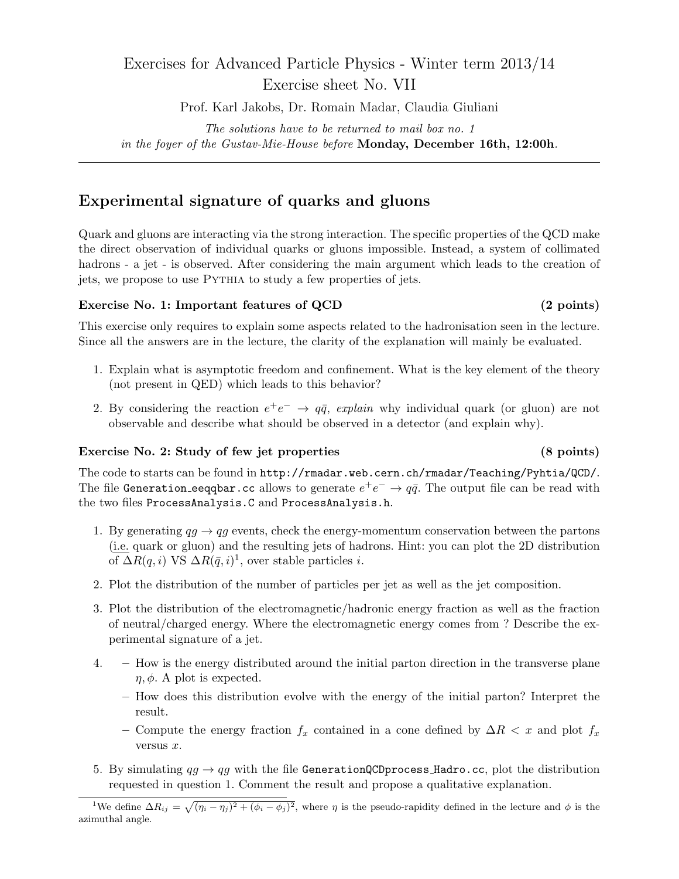# Exercises for Advanced Particle Physics - Winter term 2013/14 Exercise sheet No. VII

Prof. Karl Jakobs, Dr. Romain Madar, Claudia Giuliani

*The solutions have to be returned to mail box no. 1 in the foyer of the Gustav-Mie-House before* **Monday, December 16th, 12:00h***.*

## **Experimental signature of quarks and gluons**

Quark and gluons are interacting via the strong interaction. The specific properties of the QCD make the direct observation of individual quarks or gluons impossible. Instead, a system of collimated hadrons - a jet - is observed. After considering the main argument which leads to the creation of jets, we propose to use Pythia to study a few properties of jets.

#### **Exercise No. 1: Important features of QCD (2 points)**

This exercise only requires to explain some aspects related to the hadronisation seen in the lecture. Since all the answers are in the lecture, the clarity of the explanation will mainly be evaluated.

- 1. Explain what is asymptotic freedom and confinement. What is the key element of the theory (not present in QED) which leads to this behavior?
- 2. By considering the reaction  $e^+e^- \rightarrow q\bar{q}$ , *explain* why individual quark (or gluon) are not observable and describe what should be observed in a detector (and explain why).

### **Exercise No. 2: Study of few jet properties (8 points)**

The code to starts can be found in http://rmadar.web.cern.ch/rmadar/Teaching/Pyhtia/QCD/. The file Generation eeqqbar.cc allows to generate  $e^+e^- \to q\bar{q}$ . The output file can be read with the two files ProcessAnalysis.C and ProcessAnalysis.h.

- 1. By generating  $q\bar{q} \rightarrow q\bar{q}$  events, check the energy-momentum conservation between the partons (i.e. quark or gluon) and the resulting jets of hadrons. Hint: you can plot the 2D distribution  $\overline{\text{of }\Delta R(q,i)}$  VS  $\Delta R(\bar{q},i)^1$ , over stable particles *i*.
- 2. Plot the distribution of the number of particles per jet as well as the jet composition.
- 3. Plot the distribution of the electromagnetic/hadronic energy fraction as well as the fraction of neutral/charged energy. Where the electromagnetic energy comes from ? Describe the experimental signature of a jet.
- 4. **–** How is the energy distributed around the initial parton direction in the transverse plane  $\eta$ ,  $\phi$ . A plot is expected.
	- **–** How does this distribution evolve with the energy of the initial parton? Interpret the result.
	- **–** Compute the energy fraction *f<sup>x</sup>* contained in a cone defined by ∆*R < x* and plot *f<sup>x</sup>* versus *x*.
- 5. By simulating  $qg \rightarrow qg$  with the file GenerationQCDprocess\_Hadro.cc, plot the distribution requested in question 1. Comment the result and propose a qualitative explanation.

<sup>&</sup>lt;sup>1</sup>We define  $\Delta R_{ij} = \sqrt{(\eta_i - \eta_j)^2 + (\phi_i - \phi_j)^2}$ , where  $\eta$  is the pseudo-rapidity defined in the lecture and  $\phi$  is the azimuthal angle.